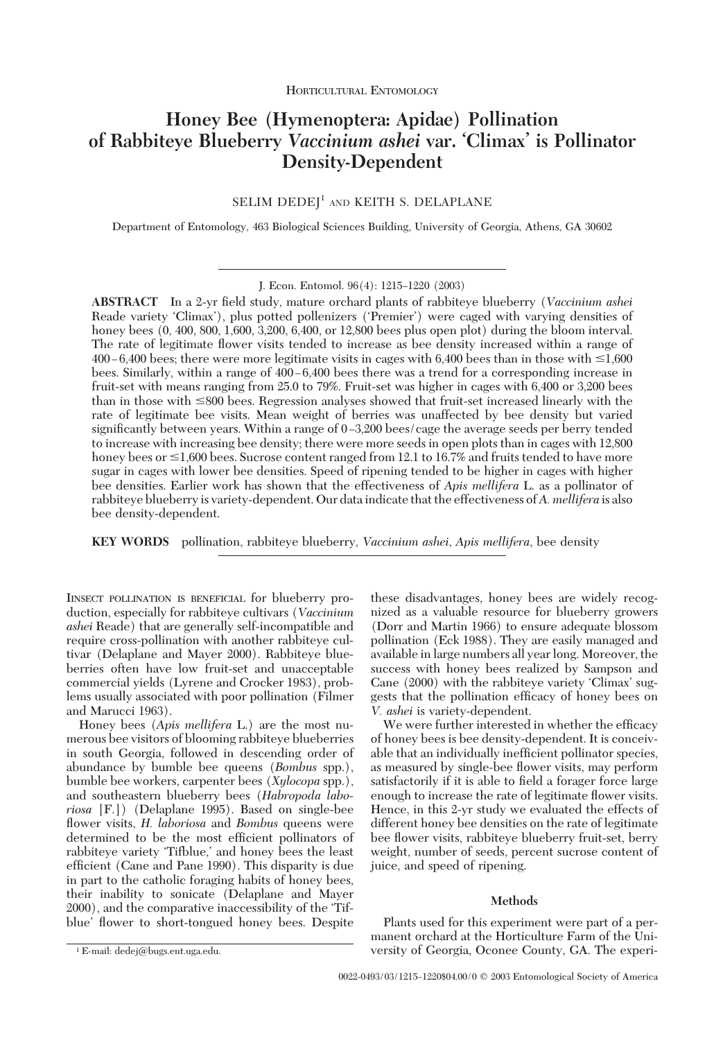# **Honey Bee (Hymenoptera: Apidae) Pollination of Rabbiteye Blueberry** *Vaccinium ashei* **var. 'Climax' is Pollinator Density-Dependent**

# SELIM DEDEJ<sup>1</sup> AND KEITH S. DELAPLANE

Department of Entomology, 463 Biological Sciences Building, University of Georgia, Athens, GA 30602

J. Econ. Entomol. 96(4): 1215-1220 (2003)

**ABSTRACT** In a 2-yr Þeld study, mature orchard plants of rabbiteye blueberry (*Vaccinium ashei* Reade variety 'Climax'), plus potted pollenizers ('Premier') were caged with varying densities of honey bees (0, 400, 800, 1,600, 3,200, 6,400, or 12,800 bees plus open plot) during the bloom interval. The rate of legitimate ßower visits tended to increase as bee density increased within a range of  $400 - 6,400$  bees; there were more legitimate visits in cages with 6,400 bees than in those with  $\leq 1,600$ bees. Similarly, within a range of  $400 - 6,400$  bees there was a trend for a corresponding increase in fruit-set with means ranging from 25.0 to 79%. Fruit-set was higher in cages with 6,400 or 3,200 bees than in those with  $\leq 800$  bees. Regression analyses showed that fruit-set increased linearly with the rate of legitimate bee visits. Mean weight of berries was unaffected by bee density but varied significantly between years. Within a range of 0-3,200 bees/cage the average seeds per berry tended to increase with increasing bee density; there were more seeds in open plots than in cages with 12,800 honey bees or  $\leq$ 1,600 bees. Sucrose content ranged from 12.1 to 16.7% and fruits tended to have more sugar in cages with lower bee densities. Speed of ripening tended to be higher in cages with higher bee densities. Earlier work has shown that the effectiveness of *Apis mellifera* L. as a pollinator of rabbiteye blueberry is variety-dependent. Our data indicate that the effectiveness of*A. mellifera* is also bee density-dependent.

**KEY WORDS** pollination, rabbiteye blueberry, *Vaccinium ashei*, *Apis mellifera*, bee density

INSECT POLLINATION IS BENEFICIAL for blueberry production, especially for rabbiteye cultivars (*Vaccinium ashei* Reade) that are generally self-incompatible and require cross-pollination with another rabbiteye cultivar (Delaplane and Mayer 2000). Rabbiteye blueberries often have low fruit-set and unacceptable commercial yields (Lyrene and Crocker 1983), problems usually associated with poor pollination (Filmer and Marucci 1963).

Honey bees (*Apis mellifera* L.) are the most numerous bee visitors of blooming rabbiteye blueberries in south Georgia, followed in descending order of abundance by bumble bee queens (*Bombus* spp.), bumble bee workers, carpenter bees (*Xylocopa* spp.), and southeastern blueberry bees (*Habropoda laboriosa* [F.]) (Delaplane 1995). Based on single-bee flower visits, *H. laboriosa* and *Bombus* queens were determined to be the most efficient pollinators of rabbiteye variety 'Tifblue,' and honey bees the least efficient (Cane and Pane 1990). This disparity is due in part to the catholic foraging habits of honey bees, their inability to sonicate (Delaplane and Mayer 2000), and the comparative inaccessibility of the Tifblue' flower to short-tongued honey bees. Despite

these disadvantages, honey bees are widely recognized as a valuable resource for blueberry growers (Dorr and Martin 1966) to ensure adequate blossom pollination (Eck 1988). They are easily managed and available in large numbers all year long. Moreover, the success with honey bees realized by Sampson and Cane (2000) with the rabbiteye variety 'Climax' suggests that the pollination efficacy of honey bees on *V. ashei* is variety-dependent.

We were further interested in whether the efficacy of honey bees is bee density-dependent. It is conceivable that an individually inefficient pollinator species, as measured by single-bee ßower visits, may perform satisfactorily if it is able to field a forager force large enough to increase the rate of legitimate flower visits. Hence, in this 2-yr study we evaluated the effects of different honey bee densities on the rate of legitimate bee ßower visits, rabbiteye blueberry fruit-set, berry weight, number of seeds, percent sucrose content of juice, and speed of ripening.

## **Methods**

Plants used for this experiment were part of a permanent orchard at the Horticulture Farm of the Uni-<sup>1</sup> E-mail: dedej@bugs.ent.uga.edu. versity of Georgia, Oconee County, GA. The experi-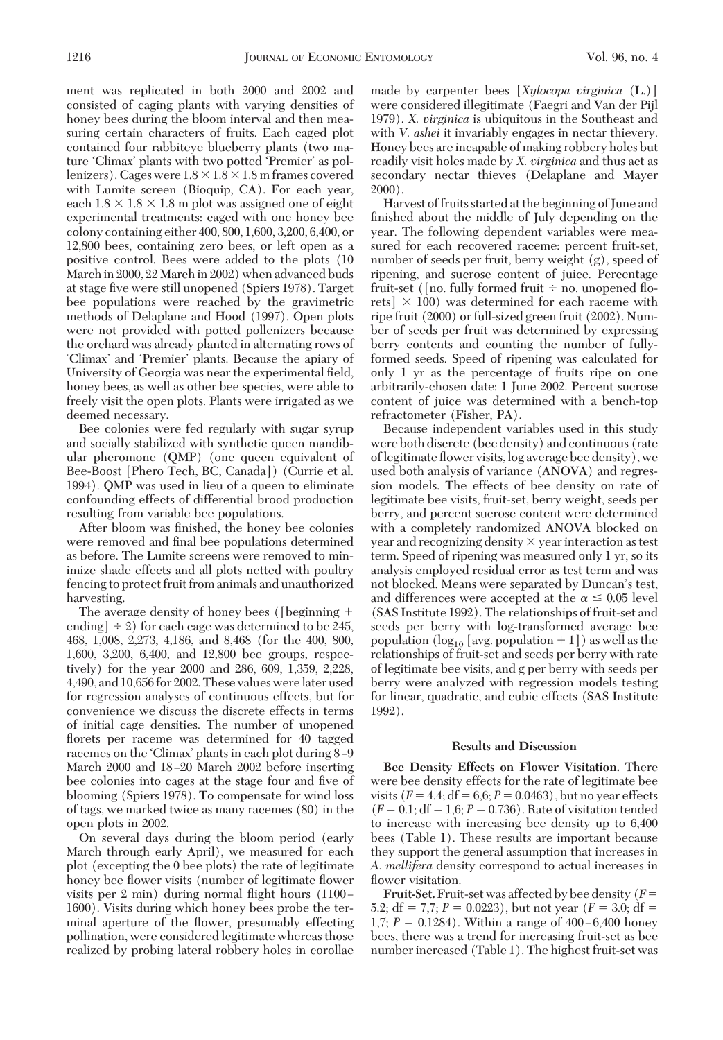ment was replicated in both 2000 and 2002 and consisted of caging plants with varying densities of honey bees during the bloom interval and then measuring certain characters of fruits. Each caged plot contained four rabbiteye blueberry plants (two mature 'Climax' plants with two potted 'Premier' as pollenizers). Cages were  $1.8 \times 1.8 \times 1.8$  m frames covered with Lumite screen (Bioquip, CA). For each year, each  $1.8 \times 1.8 \times 1.8$  m plot was assigned one of eight experimental treatments: caged with one honey bee colony containing either 400, 800, 1,600, 3,200, 6,400, or 12,800 bees, containing zero bees, or left open as a positive control. Bees were added to the plots (10 March in 2000, 22 March in 2002) when advanced buds at stage five were still unopened (Spiers 1978). Target bee populations were reached by the gravimetric methods of Delaplane and Hood (1997). Open plots were not provided with potted pollenizers because the orchard was already planted in alternating rows of 'Climax' and 'Premier' plants. Because the apiary of University of Georgia was near the experimental field, honey bees, as well as other bee species, were able to freely visit the open plots. Plants were irrigated as we deemed necessary.

Bee colonies were fed regularly with sugar syrup and socially stabilized with synthetic queen mandibular pheromone (QMP) (one queen equivalent of Bee-Boost [Phero Tech, BC, Canada]) (Currie et al. 1994). QMP was used in lieu of a queen to eliminate confounding effects of differential brood production resulting from variable bee populations.

After bloom was finished, the honey bee colonies were removed and final bee populations determined as before. The Lumite screens were removed to minimize shade effects and all plots netted with poultry fencing to protect fruit from animals and unauthorized harvesting.

The average density of honey bees ([beginning + ending]  $\div$  2) for each cage was determined to be 245, 468, 1,008, 2,273, 4,186, and 8,468 (for the 400, 800, 1,600, 3,200, 6,400, and 12,800 bee groups, respectively) for the year 2000 and 286, 609, 1,359, 2,228, 4,490, and 10,656 for 2002. These values werelater used for regression analyses of continuous effects, but for convenience we discuss the discrete effects in terms of initial cage densities. The number of unopened florets per raceme was determined for 40 tagged racemes on the 'Climax' plants in each plot during 8-9 March 2000 and 18-20 March 2002 before inserting bee colonies into cages at the stage four and five of blooming (Spiers 1978). To compensate for wind loss of tags, we marked twice as many racemes (80) in the open plots in 2002.

On several days during the bloom period (early March through early April), we measured for each plot (excepting the 0 bee plots) the rate of legitimate honey bee ßower visits (number of legitimate ßower visits per  $2 \text{ min}$ ) during normal flight hours (1100 – 1600). Visits during which honey bees probe the terminal aperture of the ßower, presumably effecting pollination, were considered legitimate whereas those realized by probing lateral robbery holes in corollae

made by carpenter bees [*Xylocopa virginica* (L.)] were considered illegitimate (Faegri and Van der Pijl 1979). *X. virginica* is ubiquitous in the Southeast and with *V. ashei* it invariably engages in nectar thievery. Honey bees are incapable of making robbery holes but readily visit holes made by *X. virginica* and thus act as secondary nectar thieves (Delaplane and Mayer 2000).

Harvest of fruits started at the beginning of June and finished about the middle of July depending on the year. The following dependent variables were measured for each recovered raceme: percent fruit-set, number of seeds per fruit, berry weight (g), speed of ripening, and sucrose content of juice. Percentage fruit-set ([no. fully formed fruit  $\div$  no. unopened florets]  $\times$  100) was determined for each raceme with ripe fruit (2000) or full-sized green fruit (2002). Number of seeds per fruit was determined by expressing berry contents and counting the number of fullyformed seeds. Speed of ripening was calculated for only 1 yr as the percentage of fruits ripe on one arbitrarily-chosen date: 1 June 2002. Percent sucrose content of juice was determined with a bench-top refractometer (Fisher, PA).

Because independent variables used in this study were both discrete (bee density) and continuous (rate of legitimate ßower visits, log average bee density), we used both analysis of variance (ANOVA) and regression models. The effects of bee density on rate of legitimate bee visits, fruit-set, berry weight, seeds per berry, and percent sucrose content were determined with a completely randomized ANOVA blocked on year and recognizing density  $\times$  year interaction as test term. Speed of ripening was measured only 1 yr, so its analysis employed residual error as test term and was not blocked. Means were separated by Duncan's test, and differences were accepted at the  $\alpha \leq 0.05$  level (SAS Institute 1992). The relationships of fruit-set and seeds per berry with log-transformed average bee population  $(\log_{10} [\text{avg. population} + 1])$  as well as the relationships of fruit-set and seeds per berry with rate of legitimate bee visits, and g per berry with seeds per berry were analyzed with regression models testing for linear, quadratic, and cubic effects (SAS Institute 1992).

#### **Results and Discussion**

**Bee Density Effects on Flower Visitation.** There were bee density effects for the rate of legitimate bee visits  $(F = 4.4; df = 6.6; P = 0.0463)$ , but no year effects  $(F = 0.1; df = 1.6; P = 0.736)$ . Rate of visitation tended to increase with increasing bee density up to 6,400 bees (Table 1). These results are important because they support the general assumption that increases in *A. mellifera* density correspond to actual increases in flower visitation.

**Fruit-Set.**Fruit-set was affected by bee density (*F* 5.2;  $df = 7.7$ ;  $P = 0.0223$ ), but not year ( $F = 3.0$ ;  $df =$ 1,7;  $P = 0.1284$ ). Within a range of  $400 - 6,400$  honey bees, there was a trend for increasing fruit-set as bee number increased (Table 1). The highest fruit-set was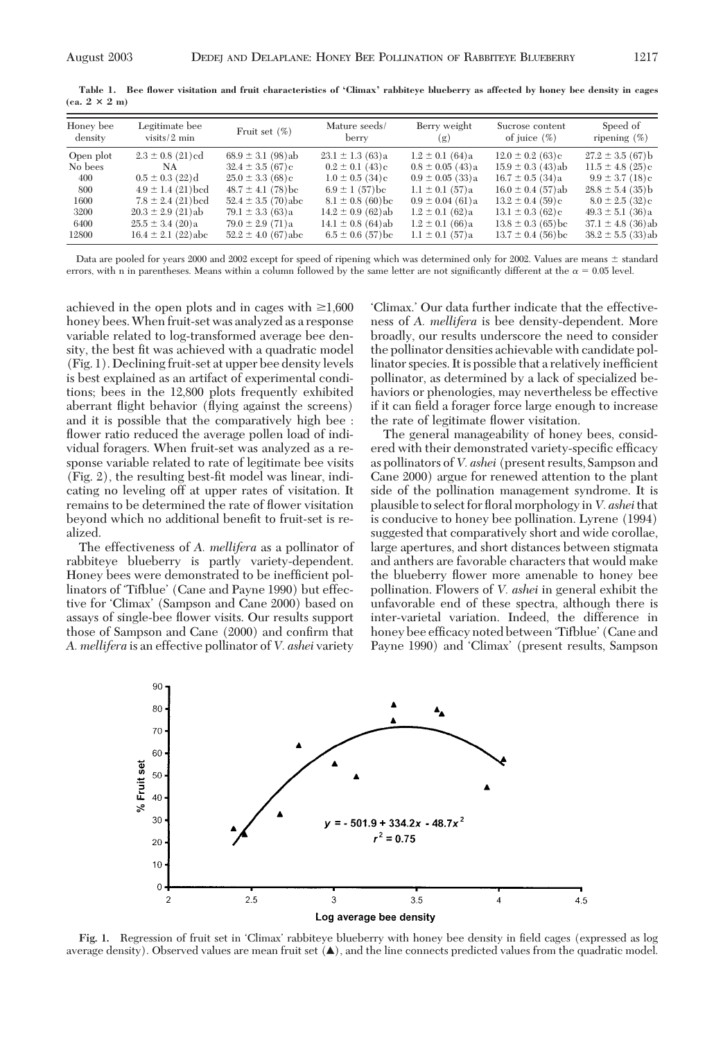| Honey bee | Legitimate bee          | Fruit set $(\%)$        | Mature seeds/                   | Berry weight         | Sucrose content        | Speed of                        |
|-----------|-------------------------|-------------------------|---------------------------------|----------------------|------------------------|---------------------------------|
| density   | visits/ $2 \text{ min}$ |                         | berry                           | (g)                  | of juice $(\%)$        | ripening $(\%)$                 |
| Open plot | $2.3 \pm 0.8$ (21) cd   | $68.9 \pm 3.1$ (98)ab   | $23.1 \pm 1.3(63)a$             | $1.2 \pm 0.1$ (64)a  | $12.0 \pm 0.2$ (63)c   | $27.2 \pm 3.5(67)$              |
| No bees   | NA                      | $32.4 \pm 3.5$ (67)e    | $0.2 \pm 0.1$ (43)c             | $0.8 \pm 0.05$ (43)a | $15.9 \pm 0.3$ (43)ab  | $11.5 \pm 4.8$ (25) c           |
| 400       | $0.5 \pm 0.3$ (22)d     | $25.0 \pm 3.3$ (68) c   | $1.0 \pm 0.5$ (34) <sub>c</sub> | $0.9 \pm 0.05$ (33)a | $16.7 \pm 0.5$ (34)a   | $9.9 \pm 3.7$ (18) <sub>c</sub> |
| 800       | $4.9 \pm 1.4$ (21) bed  | $48.7 \pm 4.1$ (78) bc  | $6.9 \pm 1$ (57) bc             | $1.1 \pm 0.1$ (57)a  | $16.0 \pm 0.4$ (57)ab  | $28.8 \pm 5.4$ (35)b            |
| 1600      | $7.8 \pm 2.4$ (21) bcd  | $52.4 \pm 3.5$ (70) abc | $8.1 \pm 0.8$ (60) bc           | $0.9 \pm 0.04$ (61)a | $13.2 \pm 0.4$ (59) c  | $8.0 \pm 2.5$ (32)c             |
| 3200      | $20.3 \pm 2.9$ (21)ab   | $79.1 \pm 3.3(63)$ a    | $14.2 \pm 0.9$ (62)ab           | $1.2 \pm 0.1$ (62)a  | $13.1 \pm 0.3$ (62) c  | $49.3 \pm 5.1(36)$ a            |
| 6400      | $25.5 \pm 3.4$ (20)a    | $79.0 \pm 2.9$ (71)a    | $14.1 \pm 0.8$ (64)ab           | $1.2 \pm 0.1$ (66)a  | $13.8 \pm 0.3$ (65) bc | $37.1 \pm 4.8$ (36) ab          |
| 12800     | $16.4 \pm 2.1$ (22) abc | $52.2 \pm 4.0$ (67)abc  | $6.5 \pm 0.6$ (57) bc           | $1.1 \pm 0.1$ (57)a  | $13.7 \pm 0.4$ (56) be | $38.2 \pm 5.5$ (33)ab           |

**Table 1. Bee flower visitation and fruit characteristics of 'Climax' rabbiteye blueberry as affected by honey bee density in cages**  $(\text{ca. } 2 \times 2 \text{ m})$ 

Data are pooled for years 2000 and 2002 except for speed of ripening which was determined only for 2002. Values are means  $\pm$  standard errors, with n in parentheses. Means within a column followed by the same letter are not significantly different at the  $\alpha = 0.05$  level.

achieved in the open plots and in cages with  $\geq 1,600$ honey bees.When fruit-set was analyzed as a response variable related to log-transformed average bee density, the best fit was achieved with a quadratic model (Fig. 1). Declining fruit-set at upper bee density levels is best explained as an artifact of experimental conditions; bees in the 12,800 plots frequently exhibited aberrant ßight behavior (ßying against the screens) and it is possible that the comparatively high bee : flower ratio reduced the average pollen load of individual foragers. When fruit-set was analyzed as a response variable related to rate of legitimate bee visits  $(Fig. 2)$ , the resulting best-fit model was linear, indicating no leveling off at upper rates of visitation. It remains to be determined the rate of ßower visitation beyond which no additional benefit to fruit-set is realized.

The effectiveness of *A. mellifera* as a pollinator of rabbiteye blueberry is partly variety-dependent. Honey bees were demonstrated to be inefficient pollinators of 'Tifblue' (Cane and Payne 1990) but effective for 'Climax' (Sampson and Cane 2000) based on assays of single-bee ßower visits. Our results support those of Sampson and Cane (2000) and confirm that *A. mellifera* is an effective pollinator of *V. ashei* variety

Climax.' Our data further indicate that the effectiveness of *A. mellifera* is bee density-dependent. More broadly, our results underscore the need to consider the pollinator densities achievable with candidate pollinator species. It is possible that a relatively inefficient pollinator, as determined by a lack of specialized behaviors or phenologies, may nevertheless be effective if it can field a forager force large enough to increase the rate of legitimate ßower visitation.

The general manageability of honey bees, considered with their demonstrated variety-specific efficacy as pollinators of *V. ashei* (present results, Sampson and Cane 2000) argue for renewed attention to the plant side of the pollination management syndrome. It is plausible to select for ßoral morphologyin*V. ashei*that is conducive to honey bee pollination. Lyrene (1994) suggested that comparatively short and wide corollae, large apertures, and short distances between stigmata and anthers are favorable characters that would make the blueberry ßower more amenable to honey bee pollination. Flowers of *V. ashei* in general exhibit the unfavorable end of these spectra, although there is inter-varietal variation. Indeed, the difference in honey bee efficacy noted between 'Tifblue' (Cane and Payne 1990) and 'Climax' (present results, Sampson



**Fig. 1.** Regression of fruit set in Climax' rabbiteye blueberry with honey bee density in field cages (expressed as log average density). Observed values are mean fruit set  $(\blacktriangle)$ , and the line connects predicted values from the quadratic model.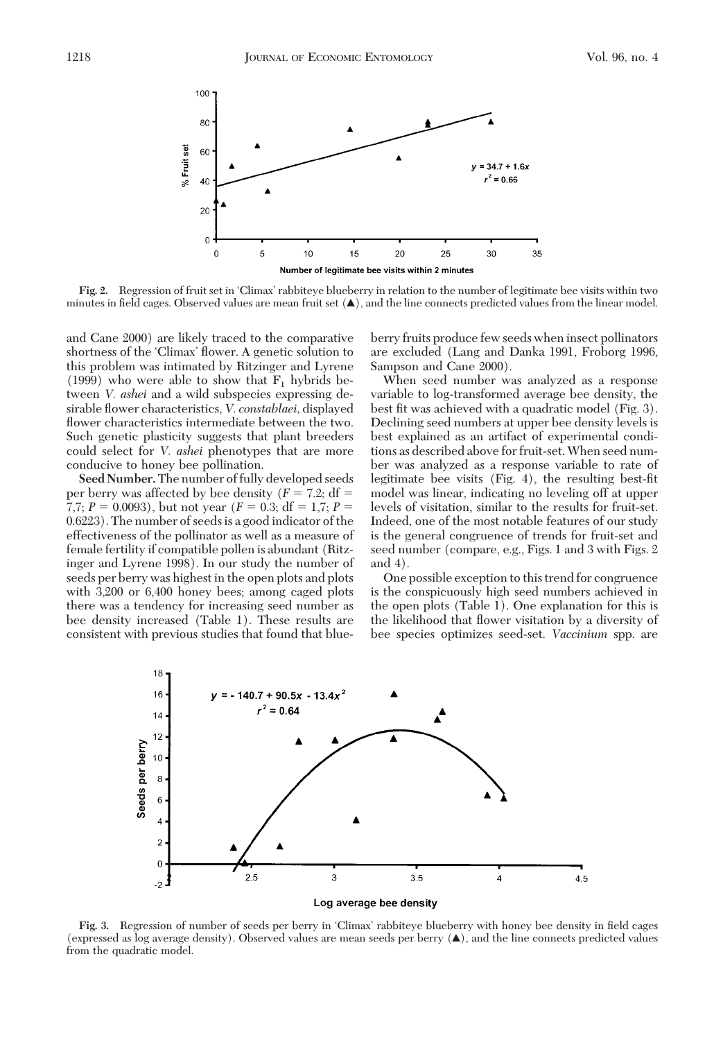

Fig. 2. Regression of fruit set in 'Climax' rabbiteye blueberry in relation to the number of legitimate bee visits within two minutes in field cages. Observed values are mean fruit set  $(\blacktriangle)$ , and the line connects predicted values from the linear model.

and Cane 2000) are likely traced to the comparative shortness of the 'Climax' flower. A genetic solution to this problem was intimated by Ritzinger and Lyrene (1999) who were able to show that  $F_1$  hybrids between *V. ashei* and a wild subspecies expressing desirable ßower characteristics, *V. constablaei,* displayed flower characteristics intermediate between the two. Such genetic plasticity suggests that plant breeders could select for *V. ashei* phenotypes that are more conducive to honey bee pollination.

**Seed Number.**The number of fully developed seeds per berry was affected by bee density  $(F = 7.2; df =$ 7,7;  $P = 0.0093$ ), but not year  $(F = 0.3; df = 1.7; P =$ 0.6223). The number of seeds is a good indicator of the effectiveness of the pollinator as well as a measure of female fertility if compatible pollen is abundant (Ritzinger and Lyrene 1998). In our study the number of seeds per berry was highest in the open plots and plots with 3,200 or 6,400 honey bees; among caged plots there was a tendency for increasing seed number as bee density increased (Table 1). These results are consistent with previous studies that found that blueberry fruits produce few seeds when insect pollinators are excluded (Lang and Danka 1991, Froborg 1996, Sampson and Cane 2000).

When seed number was analyzed as a response variable to log-transformed average bee density, the best fit was achieved with a quadratic model (Fig. 3). Declining seed numbers at upper bee density levels is best explained as an artifact of experimental conditions as described above for fruit-set.When seed number was analyzed as a response variable to rate of legitimate bee visits (Fig. 4), the resulting best-fit model was linear, indicating no leveling off at upper levels of visitation, similar to the results for fruit-set. Indeed, one of the most notable features of our study is the general congruence of trends for fruit-set and seed number (compare, e.g., Figs. 1 and 3 with Figs. 2 and 4).

One possible exception to this trend for congruence is the conspicuously high seed numbers achieved in the open plots (Table 1). One explanation for this is the likelihood that ßower visitation by a diversity of bee species optimizes seed-set. *Vaccinium* spp. are



Fig. 3. Regression of number of seeds per berry in 'Climax' rabbiteye blueberry with honey bee density in field cages (expressed as log average density). Observed values are mean seeds per berry (Œ), and the line connects predicted values from the quadratic model.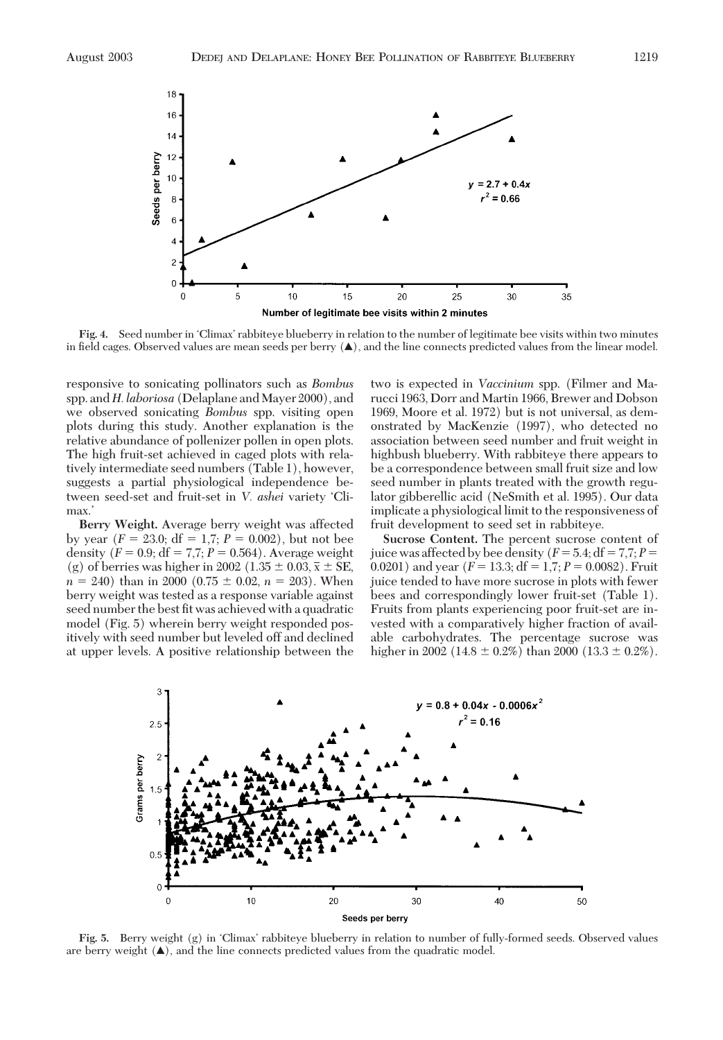

Fig. 4. Seed number in 'Climax' rabbiteye blueberry in relation to the number of legitimate bee visits within two minutes in field cages. Observed values are mean seeds per berry  $(\triangle)$ , and the line connects predicted values from the linear model.

responsive to sonicating pollinators such as *Bombus* spp. and *H. laboriosa* (Delaplane and Mayer 2000), and we observed sonicating *Bombus* spp. visiting open plots during this study. Another explanation is the relative abundance of pollenizer pollen in open plots. The high fruit-set achieved in caged plots with relatively intermediate seed numbers (Table 1), however, suggests a partial physiological independence between seed-set and fruit-set in *V. ashei* variety 'Climax.

**Berry Weight.** Average berry weight was affected by year  $(F = 23.0; df = 1.7; P = 0.002)$ , but not bee density  $(F = 0.9; df = 7.7; P = 0.564)$ . Average weight (g) of berries was higher in 2002 (1.35  $\pm$  0.03,  $\bar{x} \pm$  SE,  $n = 240$ ) than in 2000 (0.75  $\pm$  0.02,  $n = 203$ ). When berry weight was tested as a response variable against seed number the best fit was achieved with a quadratic model (Fig. 5) wherein berry weight responded positively with seed number but leveled off and declined at upper levels. A positive relationship between the two is expected in *Vaccinium* spp. (Filmer and Marucci 1963, Dorr and Martin 1966, Brewer and Dobson 1969, Moore et al. 1972) but is not universal, as demonstrated by MacKenzie (1997), who detected no association between seed number and fruit weight in highbush blueberry. With rabbiteye there appears to be a correspondence between small fruit size and low seed number in plants treated with the growth regulator gibberellic acid (NeSmith et al. 1995). Our data implicate a physiological limit to the responsiveness of fruit development to seed set in rabbiteye.

**Sucrose Content.** The percent sucrose content of juice was affected by bee density  $(F = 5.4; df = 7.7; P =$ 0.0201) and year  $(F = 13.3; df = 1.7; P = 0.0082)$ . Fruit juice tended to have more sucrose in plots with fewer bees and correspondingly lower fruit-set (Table 1). Fruits from plants experiencing poor fruit-set are invested with a comparatively higher fraction of available carbohydrates. The percentage sucrose was higher in 2002 (14.8  $\pm$  0.2%) than 2000 (13.3  $\pm$  0.2%).



**Fig. 5.** Berry weight (g) in Climax' rabbiteye blueberry in relation to number of fully-formed seeds. Observed values are berry weight  $(\triangle)$ , and the line connects predicted values from the quadratic model.